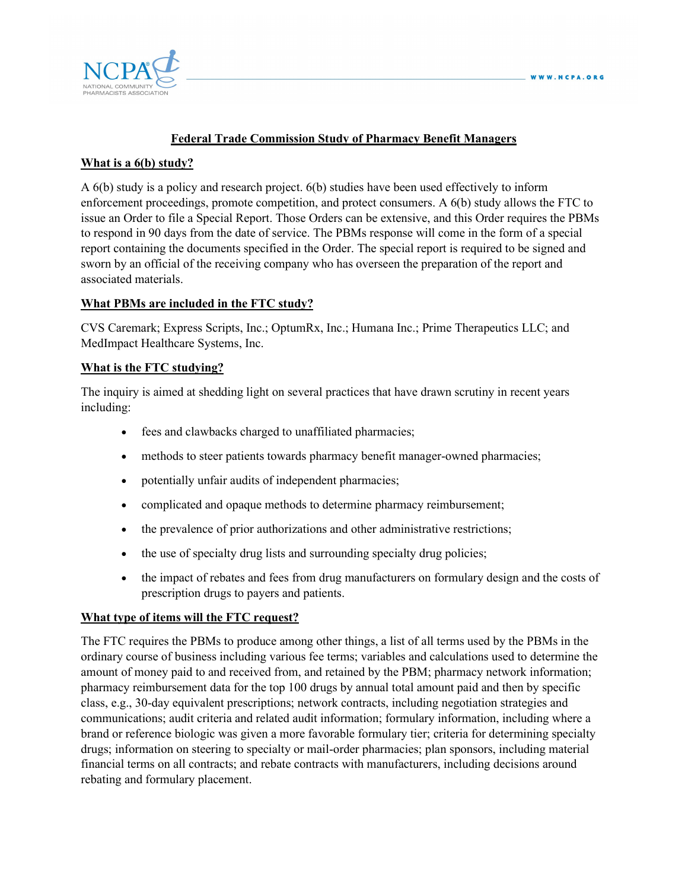

# **Federal Trade Commission Study of Pharmacy Benefit Managers**

### **What is a 6(b) study?**

A 6(b) study is a policy and research project. 6(b) studies have been used effectively to inform enforcement proceedings, promote competition, and protect consumers. A 6(b) study allows the FTC to issue an Order to file a Special Report. Those Orders can be extensive, and this Order requires the PBMs to respond in 90 days from the date of service. The PBMs response will come in the form of a special report containing the documents specified in the Order. The special report is required to be signed and sworn by an official of the receiving company who has overseen the preparation of the report and associated materials.

### **What PBMs are included in the FTC study?**

CVS Caremark; Express Scripts, Inc.; OptumRx, Inc.; Humana Inc.; Prime Therapeutics LLC; and MedImpact Healthcare Systems, Inc.

## **What is the FTC studying?**

The inquiry is aimed at shedding light on several practices that have drawn scrutiny in recent years including:

- fees and clawbacks charged to unaffiliated pharmacies;
- methods to steer patients towards pharmacy benefit manager-owned pharmacies;
- potentially unfair audits of independent pharmacies;
- complicated and opaque methods to determine pharmacy reimbursement;
- the prevalence of prior authorizations and other administrative restrictions;
- the use of specialty drug lists and surrounding specialty drug policies;
- the impact of rebates and fees from drug manufacturers on formulary design and the costs of prescription drugs to payers and patients.

#### **What type of items will the FTC request?**

The FTC requires the PBMs to produce among other things, a list of all terms used by the PBMs in the ordinary course of business including various fee terms; variables and calculations used to determine the amount of money paid to and received from, and retained by the PBM; pharmacy network information; pharmacy reimbursement data for the top 100 drugs by annual total amount paid and then by specific class, e.g., 30-day equivalent prescriptions; network contracts, including negotiation strategies and communications; audit criteria and related audit information; formulary information, including where a brand or reference biologic was given a more favorable formulary tier; criteria for determining specialty drugs; information on steering to specialty or mail-order pharmacies; plan sponsors, including material financial terms on all contracts; and rebate contracts with manufacturers, including decisions around rebating and formulary placement.